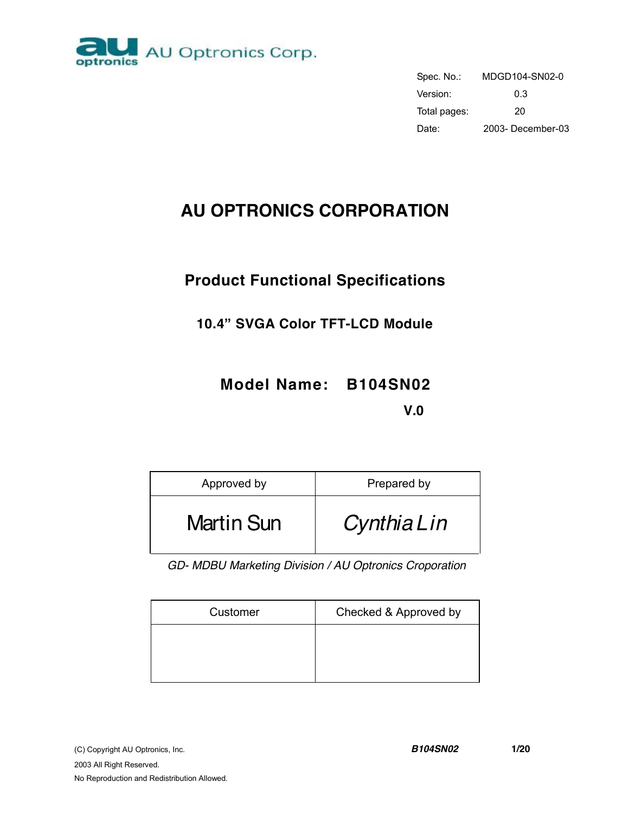

| Spec. No.:   | MDGD104-SN02-0    |
|--------------|-------------------|
| Version:     | 0.3               |
| Total pages: | 20                |
| Date:        | 2003- December-03 |

# **AU OPTRONICS CORPORATION**

# **Product Functional Specifications**

# **10.4" SVGA Color TFT-LCD Module**

# **Model Name: B104SN02**

**V.0** 

| Approved by       | Prepared by |
|-------------------|-------------|
| <b>Martin Sun</b> | CynthiaLin  |

*GD- MDBU Marketing Division / AU Optronics Croporation* 

| Customer | Checked & Approved by |
|----------|-----------------------|
|          |                       |
|          |                       |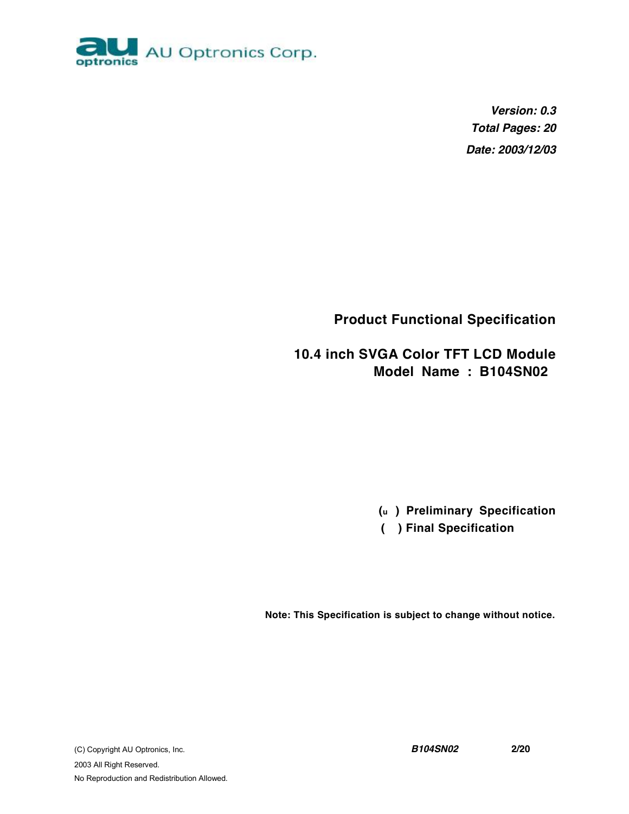

*Version: 0.3 Total Pages: 20 Date: 2003/12/03*

**Product Functional Specification** 

**10.4 inch SVGA Color TFT LCD Module Model Name : B104SN02** 

**(u ) Preliminary Specification**

 **( ) Final Specification**

**Note: This Specification is subject to change without notice.**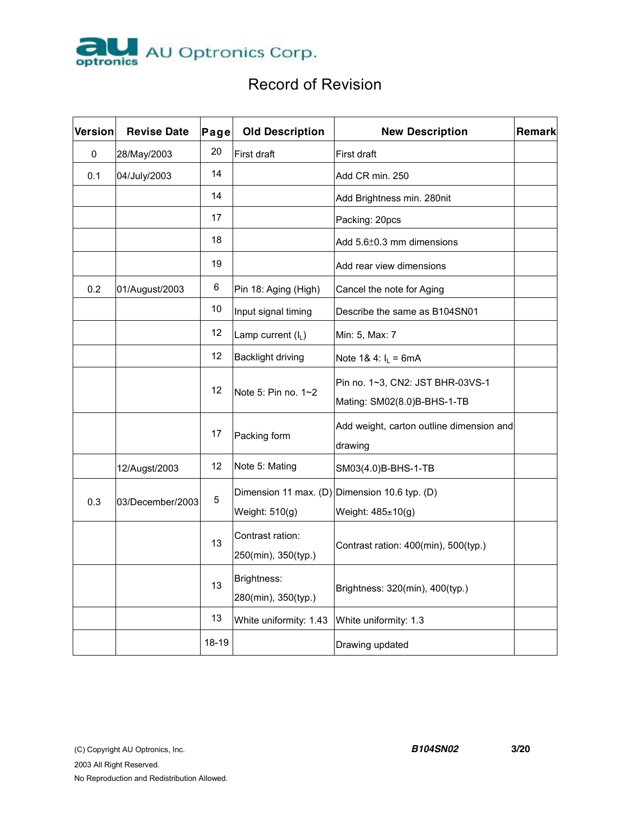

# Record of Revision

| <b>Version</b> | <b>Revise Date</b> | Page  | <b>Old Description</b>   | <b>New Description</b>                        | Remark |
|----------------|--------------------|-------|--------------------------|-----------------------------------------------|--------|
| 0              | 28/May/2003        | 20    | First draft              | First draft                                   |        |
| 0.1            | 04/July/2003       | 14    |                          | Add CR min. 250                               |        |
|                |                    | 14    |                          | Add Brightness min. 280nit                    |        |
|                |                    | 17    |                          | Packing: 20pcs                                |        |
|                |                    | 18    |                          | Add 5.6±0.3 mm dimensions                     |        |
|                |                    | 19    |                          | Add rear view dimensions                      |        |
| 0.2            | 01/August/2003     | 6     | Pin 18: Aging (High)     | Cancel the note for Aging                     |        |
|                |                    | 10    | Input signal timing      | Describe the same as B104SN01                 |        |
|                |                    | 12    | Lamp current (IL)        | Min: 5, Max: 7                                |        |
|                |                    | 12    | <b>Backlight driving</b> | Note 1& 4: $I_L = 6mA$                        |        |
|                |                    | 12    |                          | Pin no. 1~3, CN2: JST BHR-03VS-1              |        |
|                |                    |       | Note 5: Pin no. 1~2      | Mating: SM02(8.0)B-BHS-1-TB                   |        |
|                |                    | 17    |                          | Add weight, carton outline dimension and      |        |
|                |                    |       | Packing form             | drawing                                       |        |
|                | 12/Augst/2003      | 12    | Note 5: Mating           | SM03(4.0)B-BHS-1-TB                           |        |
| 0.3            |                    | 5     |                          | Dimension 11 max. (D) Dimension 10.6 typ. (D) |        |
|                | 03/December/2003   |       | Weight: 510(g)           | Weight: 485±10(g)                             |        |
|                |                    | 13    | Contrast ration:         | Contrast ration: 400(min), 500(typ.)          |        |
|                |                    |       | 250(min), 350(typ.)      |                                               |        |
|                |                    |       | Brightness:              | Brightness: 320(min), 400(typ.)               |        |
|                |                    | 13    | 280(min), 350(typ.)      |                                               |        |
|                |                    | 13    | White uniformity: 1.43   | White uniformity: 1.3                         |        |
|                |                    | 18-19 |                          | Drawing updated                               |        |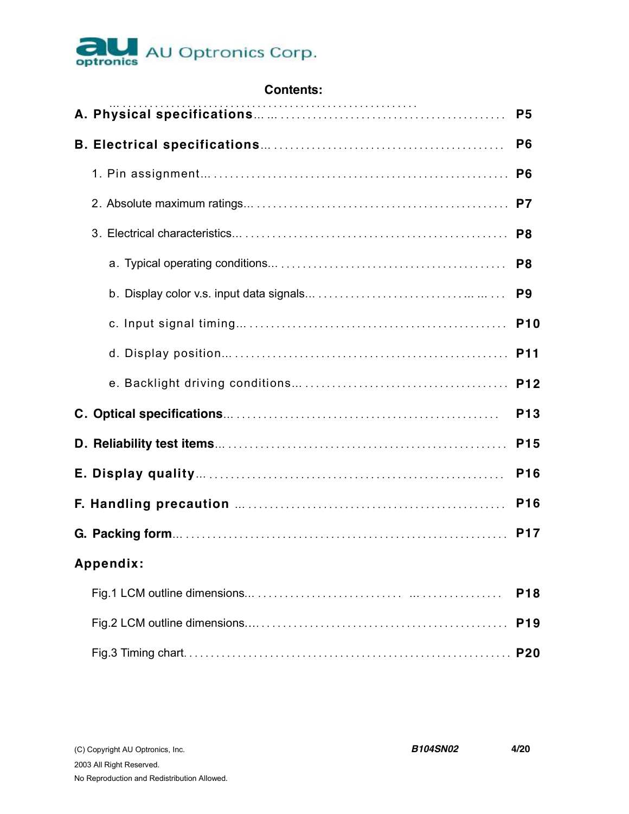

| <b>Contents:</b> |  |
|------------------|--|
|------------------|--|

|           | P <sub>5</sub>  |
|-----------|-----------------|
|           | P <sub>6</sub>  |
|           | P <sub>6</sub>  |
|           | P7              |
|           | P <sub>8</sub>  |
|           | P <sub>8</sub>  |
|           | P <sub>9</sub>  |
|           | <b>P10</b>      |
|           |                 |
|           |                 |
|           | P <sub>13</sub> |
|           | P <sub>15</sub> |
|           | P <sub>16</sub> |
|           | P <sub>16</sub> |
|           | <b>P17</b>      |
| Appendix: |                 |
|           | P <sub>18</sub> |
|           | P <sub>19</sub> |
|           | <b>P20</b>      |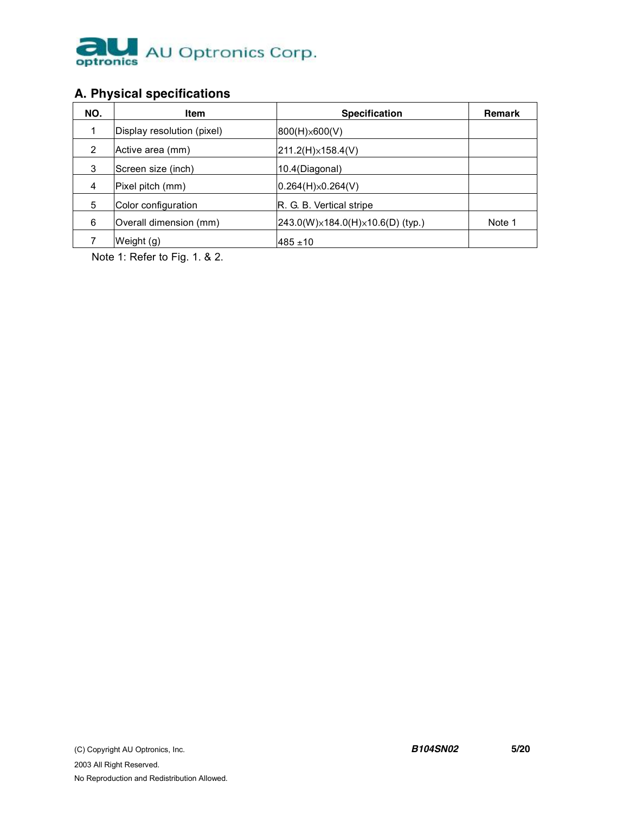

# **A. Physical specifications**

| NO. | Item                       | <b>Specification</b>                          | Remark |
|-----|----------------------------|-----------------------------------------------|--------|
| 1   | Display resolution (pixel) | $ 800(H) \times 600(V) $                      |        |
| 2   | Active area (mm)           | $ 211.2(H)\times 158.4(V) $                   |        |
| 3   | Screen size (inch)         | 10.4(Diagonal)                                |        |
| 4   | Pixel pitch (mm)           | $0.264(H)\times 0.264(V)$                     |        |
| 5   | Color configuration        | R. G. B. Vertical stripe                      |        |
| 6   | Overall dimension (mm)     | $[243.0(W)\times184.0(H)\times10.6(D)$ (typ.) | Note 1 |
|     | Weight (g)                 | $485 \pm 10$                                  |        |

Note 1: Refer to Fig. 1. & 2.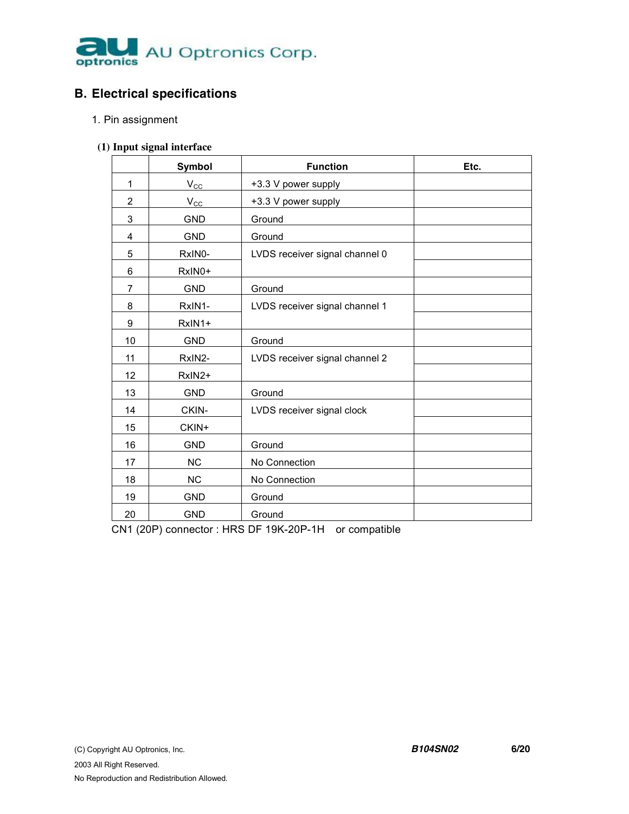

# **B. Electrical specifications**

- 1. Pin assignment
- **(1) Input signal interface**

|                | Symbol       | <b>Function</b>                | Etc. |
|----------------|--------------|--------------------------------|------|
| 1              | $V_{\rm CC}$ | +3.3 V power supply            |      |
| $\overline{2}$ | $V_{\rm CC}$ | +3.3 V power supply            |      |
| 3              | <b>GND</b>   | Ground                         |      |
| 4              | <b>GND</b>   | Ground                         |      |
| 5              | RxIN0-       | LVDS receiver signal channel 0 |      |
| 6              | RxIN0+       |                                |      |
| $\overline{7}$ | <b>GND</b>   | Ground                         |      |
| 8              | RxIN1-       | LVDS receiver signal channel 1 |      |
| 9              | RxIN1+       |                                |      |
| 10             | <b>GND</b>   | Ground                         |      |
| 11             | RxIN2-       | LVDS receiver signal channel 2 |      |
| 12             | RxIN2+       |                                |      |
| 13             | <b>GND</b>   | Ground                         |      |
| 14             | CKIN-        | LVDS receiver signal clock     |      |
| 15             | CKIN+        |                                |      |
| 16             | <b>GND</b>   | Ground                         |      |
| 17             | <b>NC</b>    | No Connection                  |      |
| 18             | <b>NC</b>    | No Connection                  |      |
| 19             | <b>GND</b>   | Ground                         |      |
| 20             | <b>GND</b>   | Ground                         |      |

CN1 (20P) connector : HRS DF 19K-20P-1H or compatible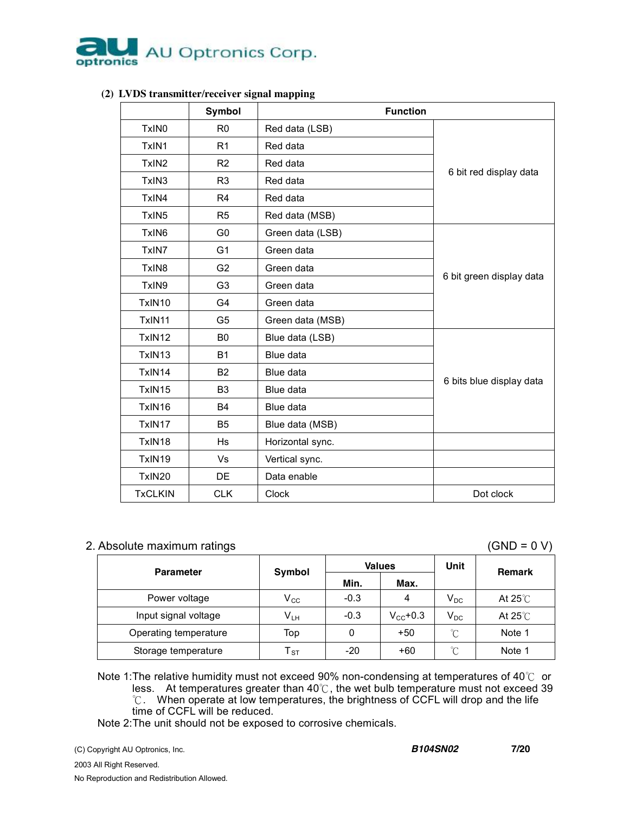

|                   | Symbol         | <b>Function</b>  |                          |  |  |  |  |
|-------------------|----------------|------------------|--------------------------|--|--|--|--|
| TxIN <sub>0</sub> | R <sub>0</sub> | Red data (LSB)   |                          |  |  |  |  |
| TxIN1             | R <sub>1</sub> | Red data         |                          |  |  |  |  |
| TxIN <sub>2</sub> | R <sub>2</sub> | Red data         |                          |  |  |  |  |
| TxIN3             | R <sub>3</sub> | Red data         | 6 bit red display data   |  |  |  |  |
| TxIN4             | R <sub>4</sub> | Red data         |                          |  |  |  |  |
| TxIN <sub>5</sub> | R <sub>5</sub> | Red data (MSB)   |                          |  |  |  |  |
| TxIN <sub>6</sub> | G0             | Green data (LSB) |                          |  |  |  |  |
| TxIN7             | G <sub>1</sub> | Green data       |                          |  |  |  |  |
| TxIN8             | G <sub>2</sub> | Green data       | 6 bit green display data |  |  |  |  |
| TxIN9             | G <sub>3</sub> | Green data       |                          |  |  |  |  |
| TxIN10            | G4             | Green data       |                          |  |  |  |  |
| TxIN11            | G <sub>5</sub> | Green data (MSB) |                          |  |  |  |  |
| TxIN12            | B <sub>0</sub> | Blue data (LSB)  |                          |  |  |  |  |
| TxIN13            | <b>B1</b>      | Blue data        |                          |  |  |  |  |
| TxIN14            | B2             | Blue data        | 6 bits blue display data |  |  |  |  |
| TxIN15            | B <sub>3</sub> | Blue data        |                          |  |  |  |  |
| TxIN16            | <b>B4</b>      | Blue data        |                          |  |  |  |  |
| TxIN17            | <b>B5</b>      | Blue data (MSB)  |                          |  |  |  |  |
| TxIN18            | <b>Hs</b>      | Horizontal sync. |                          |  |  |  |  |
| TxIN19            | Vs             | Vertical sync.   |                          |  |  |  |  |
| TxIN20            | DE             | Data enable      |                          |  |  |  |  |
| <b>TxCLKIN</b>    | <b>CLK</b>     | Clock            | Dot clock                |  |  |  |  |

#### **(2) LVDS transmitter/receiver signal mapping**

#### 2. Absolute maximum ratings (GND = 0 V)

| <b>Parameter</b>      | Symbol                     |        | <b>Values</b>     | Unit                     | <b>Remark</b>     |
|-----------------------|----------------------------|--------|-------------------|--------------------------|-------------------|
|                       |                            | Min.   | Max.              |                          |                   |
| Power voltage         | $\mathsf{V}_{\mathsf{CC}}$ | $-0.3$ | 4                 | $\mathsf{V}_\mathsf{DC}$ | At 25 $\degree$ C |
| Input signal voltage  | $V_{LH}$                   | $-0.3$ | $V_{\rm CC}$ +0.3 | $V_{DC}$                 | At $25^{\circ}$ C |
| Operating temperature | Top                        | 0      | $+50$             | $\rm ^{\circ}C$          | Note 1            |
| Storage temperature   | $\mathsf{T}_{\text{ST}}$   | $-20$  | $+60$             | °C                       | Note 1            |

Note 1: The relative humidity must not exceed 90% non-condensing at temperatures of 40℃ or less. At temperatures greater than 40℃, the wet bulb temperature must not exceed 39 ℃. When operate at low temperatures, the brightness of CCFL will drop and the life time of CCFL will be reduced.

Note 2:The unit should not be exposed to corrosive chemicals.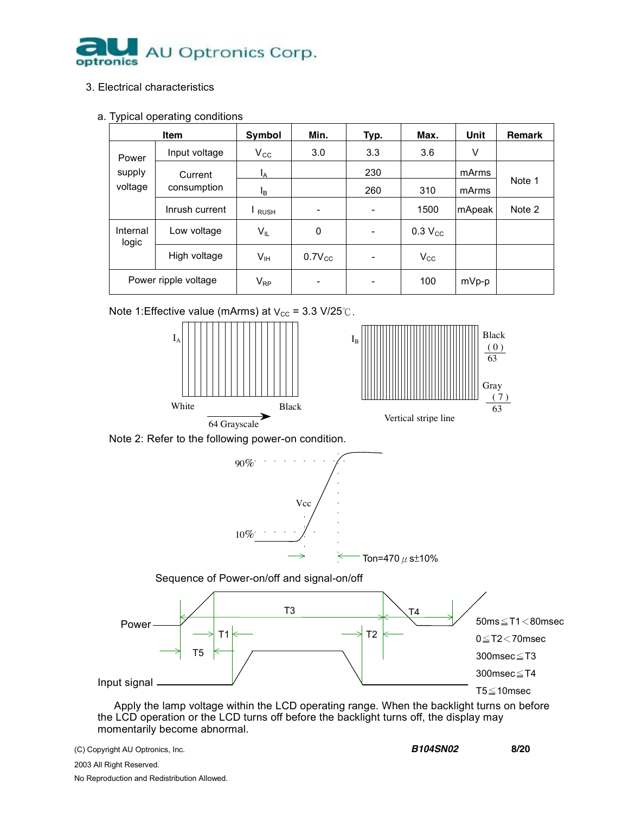

#### 3. Electrical characteristics

#### a. Typical operating conditions

| Item                       |                | Symbol                       | Min.                     | Typ.                     | Max.           | Unit    | <b>Remark</b> |
|----------------------------|----------------|------------------------------|--------------------------|--------------------------|----------------|---------|---------------|
| Power<br>supply<br>voltage | Input voltage  | $V_{\rm CC}$                 | 3.0                      | 3.3                      | 3.6            | V       |               |
|                            | Current        | ΙA.                          |                          | 230                      |                | mArms   |               |
|                            | consumption    | Ιg                           |                          | 260                      | 310            | mArms   | Note 1        |
|                            | Inrush current | $\mathsf{I}_{\mathsf{RUSH}}$ | $\overline{\phantom{0}}$ | $\overline{\phantom{a}}$ | 1500           | mApeak  | Note 2        |
| Internal<br>logic          | Low voltage    | V <sub>IL</sub>              | 0                        | -                        | $0.3$ $V_{CC}$ |         |               |
|                            | High voltage   | V <sub>IH</sub>              | $0.7V_{CC}$              | $\overline{\phantom{0}}$ | $V_{\rm CC}$   |         |               |
| Power ripple voltage       |                | $V_{RP}$                     | -                        | -                        | 100            | $mVp-p$ |               |





 Apply the lamp voltage within the LCD operating range. When the backlight turns on before the LCD operation or the LCD turns off before the backlight turns off, the display may momentarily become abnormal.

(C) Copyright AU Optronics, Inc. *B104SN02* **8/20**

2003 All Right Reserved. No Reproduction and Redistribution Allowed.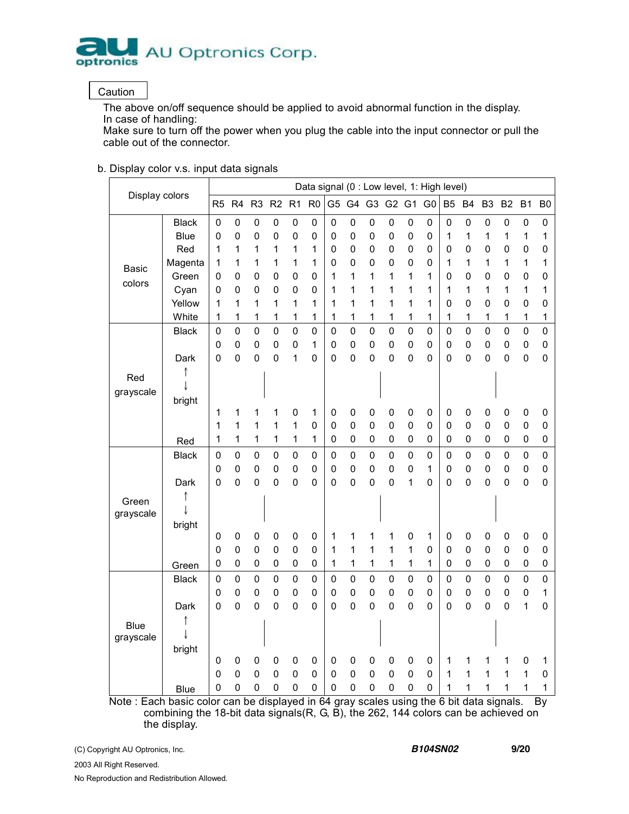

#### **Caution**

The above on/off sequence should be applied to avoid abnormal function in the display. In case of handling:

Make sure to turn off the power when you plug the cable into the input connector or pull the cable out of the connector.

#### b. Display color v.s. input data signals

| Display colors                                                                          |              |                | Data signal (0 : Low level, 1: High level) |                |                |                |                |                |                |             |                |             |                |                |                |                |                |                     |                |
|-----------------------------------------------------------------------------------------|--------------|----------------|--------------------------------------------|----------------|----------------|----------------|----------------|----------------|----------------|-------------|----------------|-------------|----------------|----------------|----------------|----------------|----------------|---------------------|----------------|
|                                                                                         |              | R <sub>5</sub> | R4                                         | R <sub>3</sub> | R2             | R <sub>1</sub> | R <sub>0</sub> | G <sub>5</sub> |                | G4 G3 G2 G1 |                |             | G <sub>0</sub> | B <sub>5</sub> | <b>B4</b>      | B <sub>3</sub> | B <sub>2</sub> | B <sub>1</sub>      | B <sub>0</sub> |
|                                                                                         | <b>Black</b> | 0              | $\mathbf 0$                                | $\mathbf 0$    | $\mathbf 0$    | $\pmb{0}$      | 0              | $\mathsf 0$    | 0              | 0           | 0              | $\pmb{0}$   | 0              | 0              | $\pmb{0}$      | $\mathbf 0$    | $\mathbf 0$    | $\mathbf 0$         | $\mathbf 0$    |
|                                                                                         | Blue         | 0              | 0                                          | 0              | 0              | 0              | 0              | 0              | 0              | 0           | 0              | $\mathbf 0$ | 0              | 1              | 1              | 1              | 1              | 1                   | 1              |
|                                                                                         | Red          | 1              | 1                                          | 1              | 1              | 1              | 1              | 0              | 0              | 0           | 0              | $\mathbf 0$ | $\mathbf 0$    | $\mathbf 0$    | 0              | 0              | 0              | $\mathbf 0$         | $\mathbf 0$    |
| <b>Basic</b>                                                                            | Magenta      | 1              | 1                                          | 1              | 1              | 1              | 1              | 0              | 0              | 0           | 0              | $\mathbf 0$ | 0              | 1              | 1              | 1              | 1              | 1                   | 1              |
| colors                                                                                  | Green        | 0              | 0                                          | 0              | $\pmb{0}$      | 0              | 0              | 1              | 1              | $\mathbf 1$ | 1              | 1           | 1              | 0              | 0              | 0              | 0              | 0                   | 0              |
|                                                                                         | Cyan         | 0              | 0                                          | 0              | $\mathbf 0$    | 0              | 0              | 1              | 1              | 1           | 1              | 1           | 1              | 1              | 1              | 1              | 1              | 1                   | 1              |
|                                                                                         | Yellow       | 1              | 1                                          | 1              | 1              | 1              | 1              | 1              | 1              | 1           | 1              | 1           | 1              | 0              | 0              | 0              | 0              | $\mathbf 0$         | 0              |
|                                                                                         | White        | 1              | 1                                          | 1              | 1              | 1              | 1              | 1              | 1              | 1           | 1              | 1           | 1              | 1              | 1              | 1              | 1              | 1                   | 1              |
|                                                                                         | <b>Black</b> | 0              | 0                                          | $\mathbf 0$    | $\mathbf 0$    | 0              | 0              | 0              | $\overline{0}$ | 0           | 0              | $\mathbf 0$ | 0              | 0              | $\pmb{0}$      | $\mathbf 0$    | $\mathbf 0$    | 0                   | $\mathbf 0$    |
|                                                                                         |              | $\pmb{0}$      | $\pmb{0}$                                  | 0              | $\pmb{0}$      | 0              | $\mathbf 1$    | 0              | 0              | $\mathsf 0$ | 0              | $\mathbf 0$ | 0              | 0              | 0              | 0              | $\pmb{0}$      | 0                   | 0              |
|                                                                                         | Dark         | 0              | 0                                          | 0              | 0              | 1              | 0              | 0              | $\overline{0}$ | $\mathbf 0$ | 0              | $\mathbf 0$ | $\Omega$       | 0              | $\mathbf 0$    | 0              | 0              | 0                   | 0              |
| Red                                                                                     |              |                |                                            |                |                |                |                |                |                |             |                |             |                |                |                |                |                |                     |                |
| grayscale                                                                               |              |                |                                            |                |                |                |                |                |                |             |                |             |                |                |                |                |                |                     |                |
|                                                                                         | bright       |                |                                            |                |                |                |                |                |                |             |                |             |                |                |                |                |                |                     |                |
|                                                                                         |              | 1              | 1                                          | 1              | 1              | 0              | 1              | 0              | 0              | 0           | 0              | $\pmb{0}$   | $\pmb{0}$      | 0              | $\mathbf 0$    | 0              | $\mathbf 0$    | $\mathsf{O}\xspace$ | 0              |
|                                                                                         |              | 1              | 1                                          | 1              | 1              | 1              | 0              | 0              | 0              | $\mathbf 0$ | 0              | $\mathbf 0$ | 0              | $\mathbf 0$    | $\mathbf 0$    | 0              | $\mathbf 0$    | 0                   | 0              |
|                                                                                         | Red          | 1              | 1                                          | 1              | 1              | 1              | 1              | 0              | 0              | $\mathsf 0$ | 0              | $\mathbf 0$ | $\mathbf 0$    | 0              | 0              | 0              | $\mathbf 0$    | 0                   | $\mathbf 0$    |
|                                                                                         | <b>Black</b> | $\pmb{0}$      | $\mathbf 0$                                | $\pmb{0}$      | $\pmb{0}$      | $\mathbf 0$    | $\mathbf 0$    | $\mathsf 0$    | $\mathbf 0$    | $\mathbf 0$ | 0              | $\mathbf 0$ | $\mathbf 0$    | $\mathbf 0$    | $\pmb{0}$      | $\mathbf 0$    | $\mathbf 0$    | $\mathsf 0$         | $\mathbf 0$    |
|                                                                                         |              | 0              | $\mathbf 0$                                | 0              | $\mathbf 0$    | 0              | $\mathbf 0$    | $\mathsf 0$    | $\mathbf 0$    | $\mathsf 0$ | 0              | $\pmb{0}$   | 1              | $\mathbf 0$    | 0              | $\mathbf 0$    | $\overline{0}$ | 0                   | 0              |
|                                                                                         | Dark         | 0              | 0                                          | 0              | $\overline{0}$ | 0              | 0              | 0              | 0              | $\mathbf 0$ | 0              | 1           | 0              | 0              | $\overline{0}$ | 0              | 0              | $\mathbf 0$         | 0              |
| Green                                                                                   |              |                |                                            |                |                |                |                |                |                |             |                |             |                |                |                |                |                |                     |                |
| grayscale                                                                               |              |                |                                            |                |                |                |                |                |                |             |                |             |                |                |                |                |                |                     |                |
|                                                                                         | bright       |                |                                            |                |                |                |                |                |                |             |                |             |                |                |                |                |                |                     |                |
|                                                                                         |              | 0              | $\pmb{0}$                                  | $\mathbf 0$    | 0              | 0              | 0              | 1              | 1              | 1           | 1              | $\pmb{0}$   | 1              | $\pmb{0}$      | 0              | 0              | 0              | 0                   | 0              |
|                                                                                         |              | 0              | $\mathbf 0$                                | $\mathbf 0$    | $\mathbf 0$    | 0              | 0              | 1              | 1              | 1           | 1              | 1           | 0              | 0              | $\mathbf 0$    | 0              | $\mathbf 0$    | 0                   | 0              |
|                                                                                         | Green        | 0              | 0                                          | $\pmb{0}$      | $\pmb{0}$      | 0              | 0              | 1              | 1              | 1           | 1              | 1           | 1              | 0              | $\pmb{0}$      | 0              | $\pmb{0}$      | 0                   | $\mathsf 0$    |
|                                                                                         | <b>Black</b> | $\pmb{0}$      | 0                                          | $\mathbf 0$    | $\mathbf 0$    | $\mathbf 0$    | 0              | 0              | $\mathbf 0$    | $\mathbf 0$ | 0              | $\mathbf 0$ | $\mathbf 0$    | $\mathbf 0$    | $\pmb{0}$      | $\mathbf 0$    | $\mathbf 0$    | $\mathsf 0$         | $\mathbf 0$    |
|                                                                                         |              | 0              | 0                                          | 0              | $\mathbf 0$    | 0              | 0              | 0              | 0              | 0           | 0              | $\mathbf 0$ | 0              | 0              | $\pmb{0}$      | 0              | 0              | 0                   | 1              |
|                                                                                         | Dark         | $\mathbf 0$    | 0                                          | $\mathbf 0$    | $\overline{0}$ | $\mathbf 0$    | 0              | 0              | $\overline{0}$ | 0           | $\overline{0}$ | $\mathbf 0$ | 0              | $\mathbf 0$    | $\overline{0}$ | $\mathbf 0$    | 0              | $\mathbf 1$         | 0              |
| <b>Blue</b>                                                                             |              |                |                                            |                |                |                |                |                |                |             |                |             |                |                |                |                |                |                     |                |
| grayscale                                                                               |              |                |                                            |                |                |                |                |                |                |             |                |             |                |                |                |                |                |                     |                |
|                                                                                         | bright       |                |                                            |                |                |                |                |                |                |             |                |             |                |                |                |                |                |                     |                |
|                                                                                         |              | 0              | 0                                          | 0              | 0              | 0              | 0              | 0              | 0              | 0           | 0              | 0           | 0              | 1              | 1              | 1              | 1              | 0                   | 1              |
|                                                                                         |              | 0              | $\overline{0}$                             | 0              | $\mathbf 0$    | 0              | 0              | 0              | $\mathbf 0$    | 0           | 0              | $\mathbf 0$ | $\mathbf 0$    | 1              | 1              | 1              | 1              | 1                   | 0              |
|                                                                                         | <b>Blue</b>  | $\mathbf 0$    | 0                                          | $\mathbf 0$    | 0              | 0              | 0              | 0              | $\mathbf 0$    | 0           | 0              | $\pmb{0}$   | 0              | 1              | 1              | 1              | 1              | 1                   | 1              |
| Note: Each basic color can be displayed in 64 gray scales using the 6 bit data signals. |              |                |                                            |                |                |                |                |                |                |             |                |             |                |                |                |                |                |                     | <b>By</b>      |

combining the 18-bit data signals(R, G, B), the 262, 144 colors can be achieved on the display.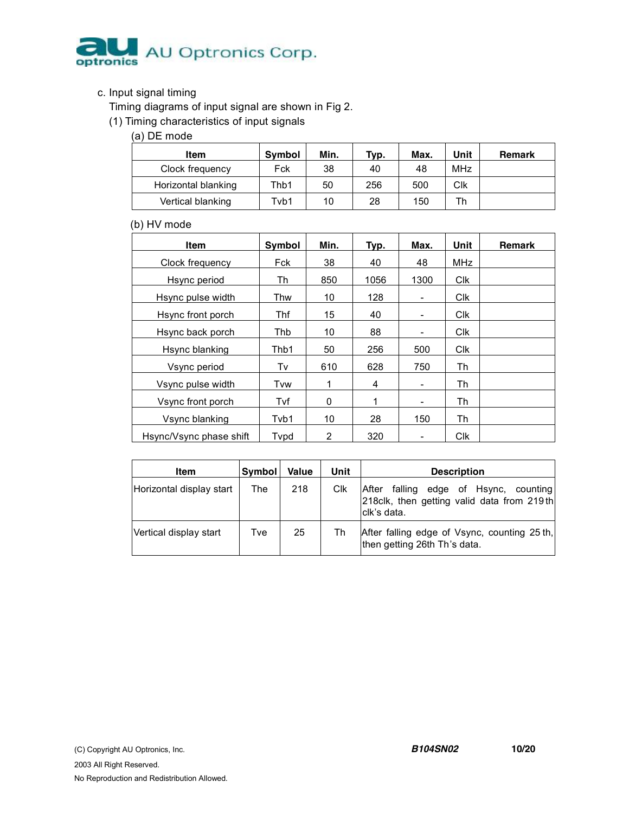

#### c. Input signal timing

Timing diagrams of input signal are shown in Fig 2.

(1) Timing characteristics of input signals

(a) DE mode

| Item                | Symbol | Min. | Typ. | Max. | Unit       | Remark |
|---------------------|--------|------|------|------|------------|--------|
| Clock frequency     | Fck    | 38   | 40   | 48   | <b>MHz</b> |        |
| Horizontal blanking | Thb1   | 50   | 256  | 500  | Clk        |        |
| Vertical blanking   | Tvb1   | 10   | 28   | 150  | Th         |        |

#### (b) HV mode

| Item                    | Symbol | Min. | Typ. | Max.                     | Unit       | <b>Remark</b> |
|-------------------------|--------|------|------|--------------------------|------------|---------------|
| Clock frequency         | Fck    | 38   | 40   | 48                       | MHz        |               |
| Hsync period            | Th     | 850  | 1056 | 1300                     | Clk        |               |
| Hsync pulse width       | Thw    | 10   | 128  | -                        | <b>Clk</b> |               |
| Hsync front porch       | Thf    | 15   | 40   | -                        | <b>Clk</b> |               |
| Hsync back porch        | Thb    | 10   | 88   | -                        | <b>Clk</b> |               |
| Hsync blanking          | Thb1   | 50   | 256  | 500                      | <b>Clk</b> |               |
| Vsync period            | Tv     | 610  | 628  | 750                      | Th         |               |
| Vsync pulse width       | Tvw    | 1    | 4    | $\overline{\phantom{a}}$ | Th         |               |
| Vsync front porch       | Tvf    | 0    | 1    | -                        | Th         |               |
| Vsync blanking          | Tvb1   | 10   | 28   | 150                      | Th         |               |
| Hsync/Vsync phase shift | Typd   | 2    | 320  |                          | <b>Clk</b> |               |

| Item                     | <b>Symbol</b> | <b>Value</b> | Unit | <b>Description</b>                                                                                     |
|--------------------------|---------------|--------------|------|--------------------------------------------------------------------------------------------------------|
| Horizontal display start | The           | 218          | Clk  | falling edge of Hsync, counting<br>After<br>218clk, then getting valid data from 219th<br>lclk's data. |
| Vertical display start   | Tve           | 25           | Th   | After falling edge of Vsync, counting 25 th,<br>then getting 26th Th's data.                           |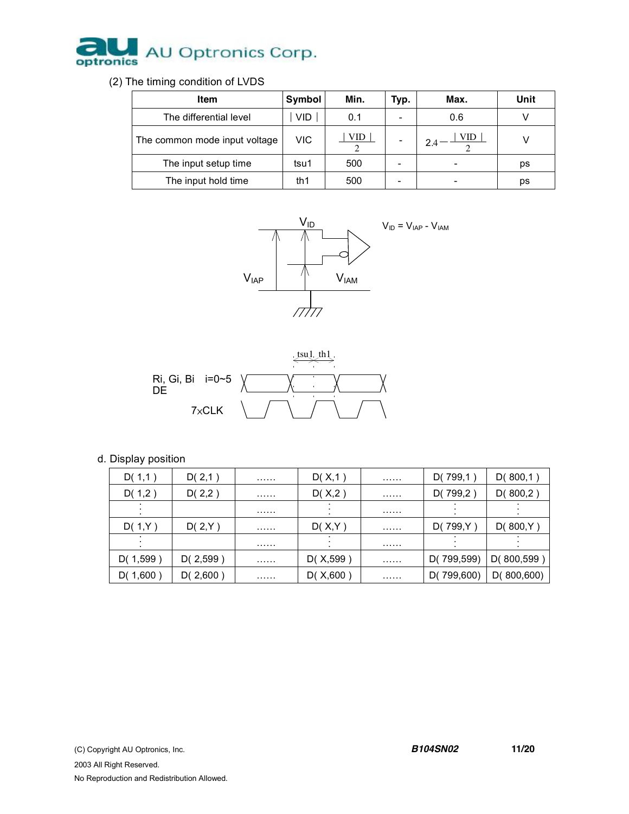

(2) The timing condition of LVDS

| <b>Item</b>                   | Symbol     | Min. | Typ.                     | Max. | Unit |
|-------------------------------|------------|------|--------------------------|------|------|
| The differential level        | <b>VID</b> | 0.1  | $\overline{\phantom{0}}$ | 0.6  |      |
| The common mode input voltage | VIC        | VID  | -                        | VID  |      |
| The input setup time          | tsu1       | 500  | -                        |      | ps   |
| The input hold time           | th1        | 500  | -                        |      | ps   |





d. Display position

| D(1,1)   | D(2,1)   | . | D(X,1)    | . | D(799,1)   | D(800,1)    |
|----------|----------|---|-----------|---|------------|-------------|
| D(1,2)   | D(2,2)   | . | D(X,2)    | . | D(799,2)   | D(800,2)    |
|          |          | . |           | . |            |             |
| D(1,Y)   | D(2,Y)   | . | D(X,Y)    | . | D(799,Y)   | D(800,Y)    |
|          |          | . |           | . |            |             |
| D(1,599) | D(2,599) | . | D(X, 599) | . | D(799,599) | D(800, 599) |
| D(1,600) | D(2,600) | . | D(X, 600) | . | D(799,600) | D(800,600)  |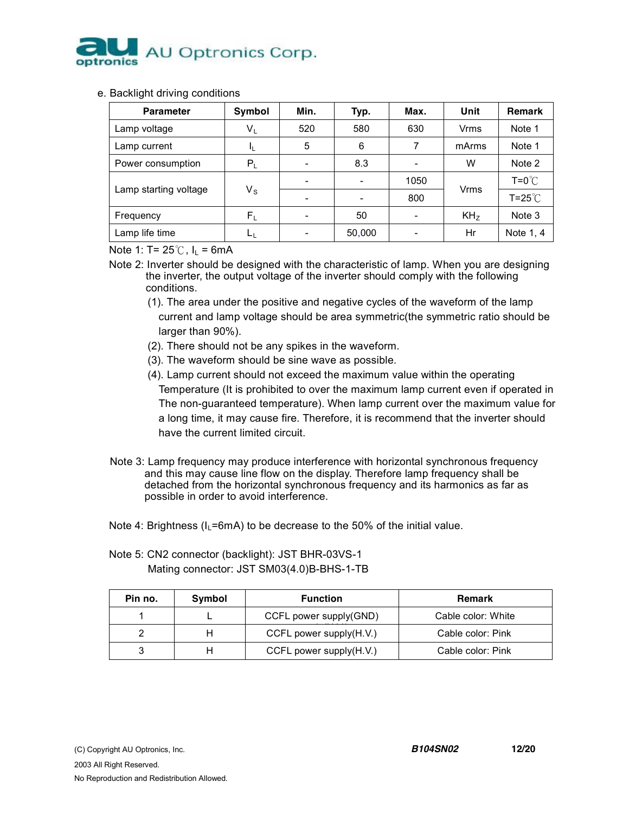

#### e. Backlight driving conditions

| <b>Parameter</b>      | Symbol      | Min. | Typ.                     | Max.                     | Unit            | <b>Remark</b>    |
|-----------------------|-------------|------|--------------------------|--------------------------|-----------------|------------------|
| Lamp voltage          | $\sf{V}_L$  | 520  | 580                      | 630                      | Vrms            | Note 1           |
| Lamp current          | IL.         | 5    | 6                        | 7                        | mArms           | Note 1           |
| Power consumption     | $P_L$       |      | 8.3                      | $\overline{\phantom{0}}$ | W               | Note 2           |
| Lamp starting voltage |             |      | $\overline{\phantom{a}}$ | 1050                     | <b>Vrms</b>     | $T = 0^{\circ}C$ |
|                       | $V_{\rm S}$ |      | $\overline{\phantom{a}}$ | 800                      |                 | $T = 25^{\circ}$ |
| Frequency             | $F_L$       |      | 50                       | $\overline{\phantom{0}}$ | KH <sub>z</sub> | Note 3           |
| Lamp life time        | ட்ட         |      | 50,000                   |                          | Hr              | Note 1, 4        |

Note 1: T=  $25^{\circ}$ C, I<sub>L</sub> = 6mA

- Note 2: Inverter should be designed with the characteristic of lamp. When you are designing the inverter, the output voltage of the inverter should comply with the following conditions.
	- (1). The area under the positive and negative cycles of the waveform of the lamp current and lamp voltage should be area symmetric(the symmetric ratio should be larger than 90%).
	- (2). There should not be any spikes in the waveform.
	- (3). The waveform should be sine wave as possible.
	- (4). Lamp current should not exceed the maximum value within the operating Temperature (It is prohibited to over the maximum lamp current even if operated in The non-guaranteed temperature). When lamp current over the maximum value for a long time, it may cause fire. Therefore, it is recommend that the inverter should have the current limited circuit.
- Note 3: Lamp frequency may produce interference with horizontal synchronous frequency and this may cause line flow on the display. Therefore lamp frequency shall be detached from the horizontal synchronous frequency and its harmonics as far as possible in order to avoid interference.
- Note 4: Brightness ( $I_L$ =6mA) to be decrease to the 50% of the initial value.

| Note 5: CN2 connector (backlight): JST BHR-03VS-1 |
|---------------------------------------------------|
| Mating connector: JST SM03(4.0)B-BHS-1-TB         |

| Pin no. | Symbol | <b>Function</b>         | <b>Remark</b>      |
|---------|--------|-------------------------|--------------------|
|         |        | CCFL power supply(GND)  | Cable color: White |
|         |        | CCFL power supply(H.V.) | Cable color: Pink  |
|         |        | CCFL power supply(H.V.) | Cable color: Pink  |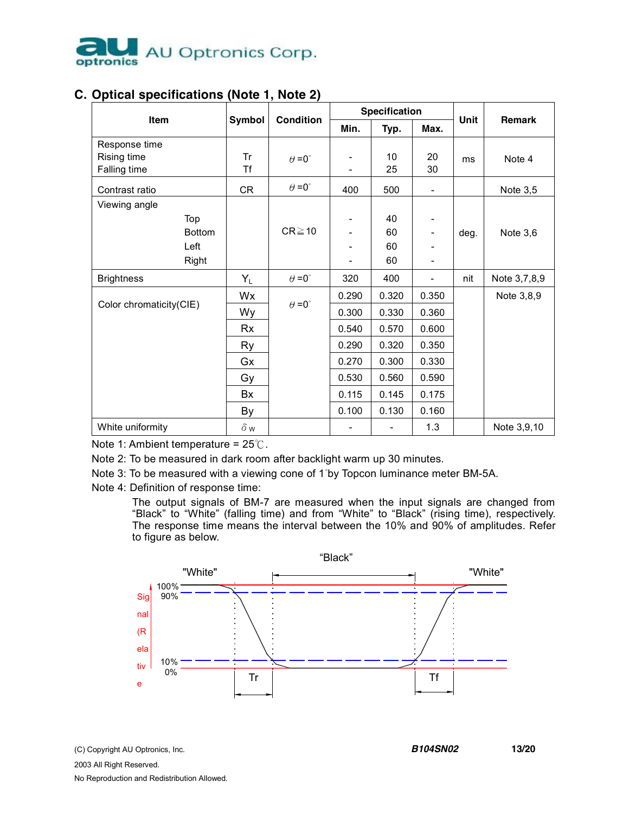

|                                                        |                                              |                  |                                                                      | <b>Specification</b>                                                 |                                                                      |      |              |
|--------------------------------------------------------|----------------------------------------------|------------------|----------------------------------------------------------------------|----------------------------------------------------------------------|----------------------------------------------------------------------|------|--------------|
| Item                                                   | Symbol                                       | <b>Condition</b> | Min.                                                                 | Typ.                                                                 | Max.                                                                 | Unit | Remark       |
| Response time<br>Rising time<br>Falling time           | Tr<br><b>Tf</b>                              | $\theta = 0$ °   |                                                                      | 10<br>25                                                             | 20<br>30                                                             | ms   | Note 4       |
| Contrast ratio                                         | <b>CR</b>                                    | $\theta = 0$ °   | 400                                                                  | 500                                                                  | $\overline{\phantom{0}}$                                             |      | Note $3,5$   |
| Viewing angle<br>Top<br><b>Bottom</b><br>Left<br>Right |                                              | $CR \ge 10$      |                                                                      | 40<br>60<br>60<br>60                                                 | $\overline{\phantom{0}}$                                             | deg. | Note 3,6     |
| <b>Brightness</b>                                      | $Y_L$                                        | $\theta = 0$ °   | 320                                                                  | 400                                                                  | $\overline{\phantom{0}}$                                             | nit  | Note 3,7,8,9 |
| Color chromaticity(CIE)                                | Wx<br>Wy<br>Rx<br>Ry<br>Gx<br>Gy<br>Bx<br>By | $\theta = 0$ °   | 0.290<br>0.300<br>0.540<br>0.290<br>0.270<br>0.530<br>0.115<br>0.100 | 0.320<br>0.330<br>0.570<br>0.320<br>0.300<br>0.560<br>0.145<br>0.130 | 0.350<br>0.360<br>0.600<br>0.350<br>0.330<br>0.590<br>0.175<br>0.160 |      | Note 3,8,9   |
| White uniformity                                       | $\delta$ w                                   |                  |                                                                      |                                                                      | 1.3                                                                  |      | Note 3,9,10  |

# **C. Optical specifications (Note 1, Note 2)**

Note 1: Ambient temperature =  $25^{\circ}$ C.

Note 2: To be measured in dark room after backlight warm up 30 minutes.

Note 3: To be measured with a viewing cone of 1°by Topcon luminance meter BM-5A.

Note 4: Definition of response time:

The output signals of BM-7 are measured when the input signals are changed from "Black" to "White" (falling time) and from "White" to "Black" (rising time), respectively. The response time means the interval between the 10% and 90% of amplitudes. Refer to figure as below.

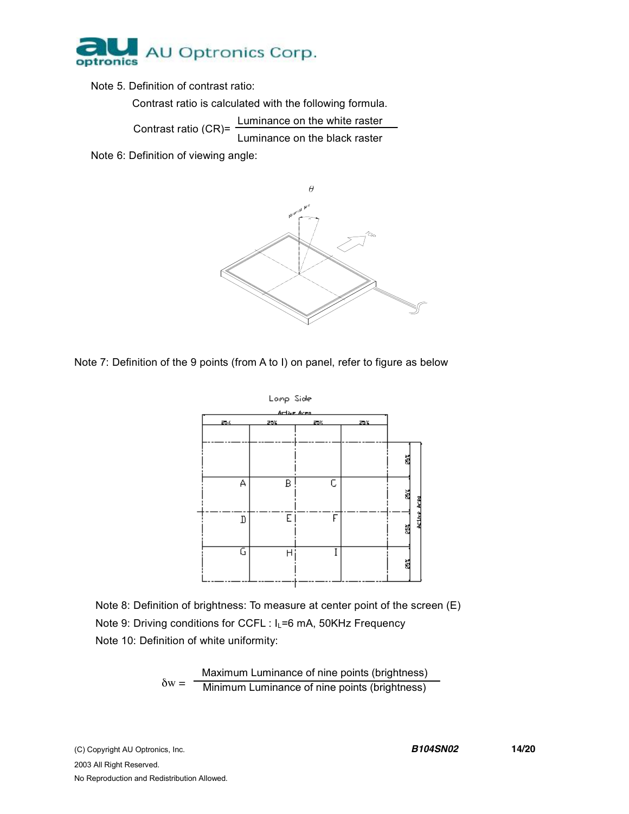

Note 5. Definition of contrast ratio:

Contrast ratio is calculated with the following formula.

Contrast ratio (CR)= Luminance on the white raster Luminance on the black raster

Note 6: Definition of viewing angle:



Note 7: Definition of the 9 points (from A to I) on panel, refer to figure as below



Note 8: Definition of brightness: To measure at center point of the screen (E) Note 9: Driving conditions for CCFL : I<sub>L</sub>=6 mA, 50KHz Frequency Note 10: Definition of white uniformity:

> $\delta w = -$ Maximum Luminance of nine points (brightness) Minimum Luminance of nine points (brightness)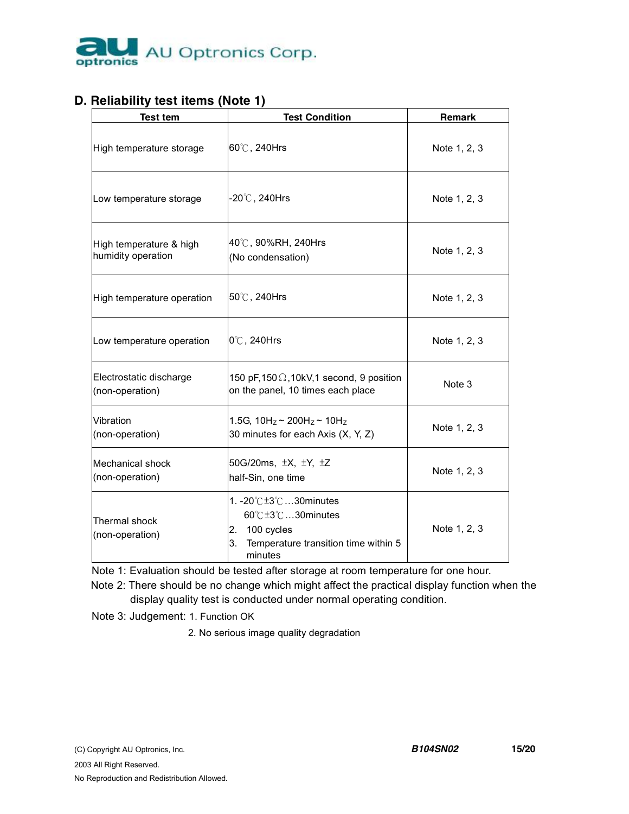

## **D. Reliability test items (Note 1)**

| <b>Test tem</b>                               | <b>Test Condition</b>                                                                                               | Remark       |
|-----------------------------------------------|---------------------------------------------------------------------------------------------------------------------|--------------|
| High temperature storage                      | 60℃, 240Hrs                                                                                                         | Note 1, 2, 3 |
| Low temperature storage                       | -20 $^\circ\!{\mathbb C}$ , 240Hrs                                                                                  | Note 1, 2, 3 |
| High temperature & high<br>humidity operation | 40℃, 90%RH, 240Hrs<br>(No condensation)                                                                             | Note 1, 2, 3 |
| High temperature operation                    | 50℃, 240Hrs                                                                                                         | Note 1, 2, 3 |
| Low temperature operation                     | 0°C, 240Hrs                                                                                                         | Note 1, 2, 3 |
| Electrostatic discharge<br>(non-operation)    | 150 pF, 150 $\Omega$ , 10kV, 1 second, 9 position<br>on the panel, 10 times each place                              | Note 3       |
| Vibration<br>(non-operation)                  | 1.5G, $10H_z \sim 200H_z \sim 10H_z$<br>30 minutes for each Axis (X, Y, Z)                                          | Note 1, 2, 3 |
| <b>Mechanical shock</b><br>(non-operation)    | 50G/20ms, $\pm X$ , $\pm Y$ , $\pm Z$<br>half-Sin, one time                                                         | Note 1, 2, 3 |
| Thermal shock<br>(non-operation)              | 1. -20℃±3℃30minutes<br>60℃±3℃30minutes<br>100 cycles<br>2.<br>Temperature transition time within 5<br>3.<br>minutes | Note 1, 2, 3 |

Note 1: Evaluation should be tested after storage at room temperature for one hour.

 Note 2: There should be no change which might affect the practical display function when the display quality test is conducted under normal operating condition.

Note 3: Judgement: 1. Function OK

2. No serious image quality degradation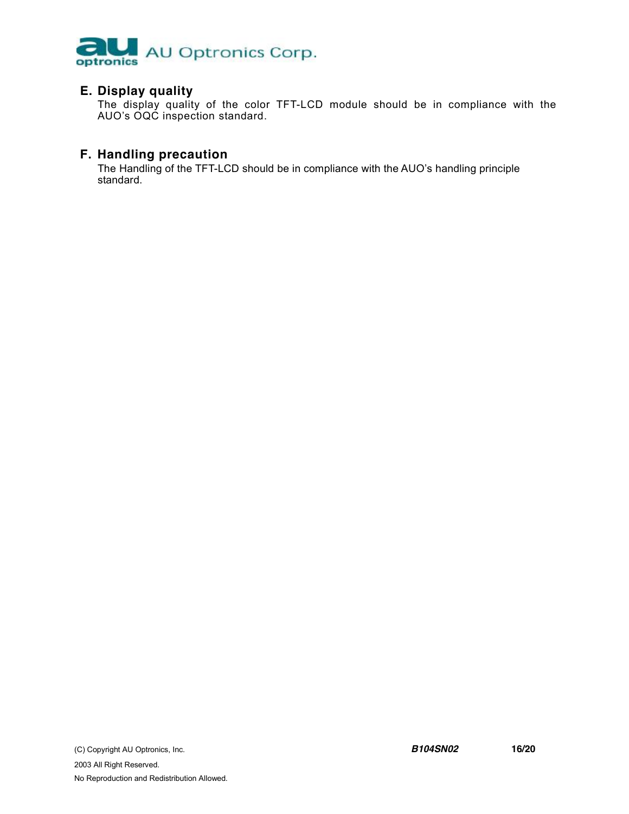

### **E. Display quality**

The display quality of the color TFT-LCD module should be in compliance with the AUO's OQC inspection standard.

## **F. Handling precaution**

The Handling of the TFT-LCD should be in compliance with the AUO's handling principle standard.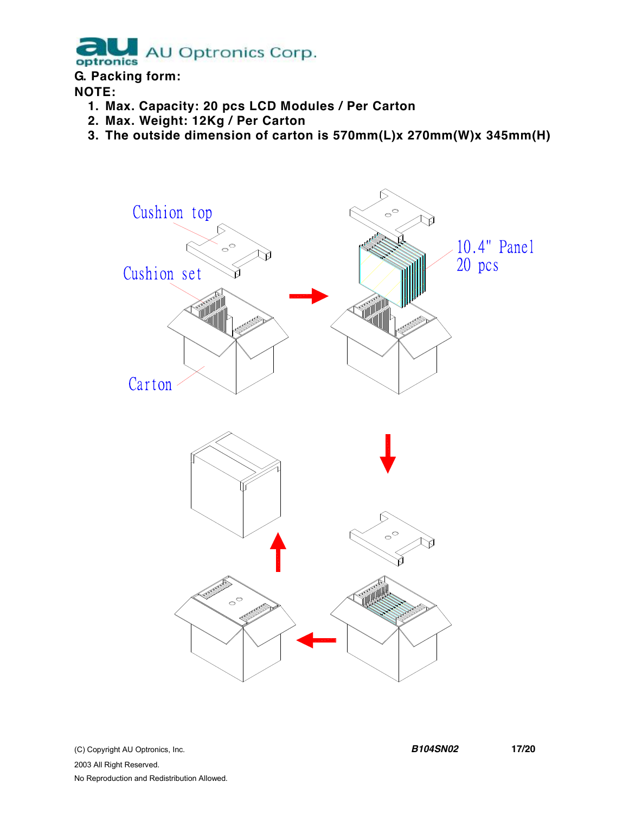AU Optronics Corp. optronics

## **G. Packing form:**

## **NOTE:**

- **1. Max. Capacity: 20 pcs LCD Modules / Per Carton**
- **2. Max. Weight: 12Kg / Per Carton**
- **3. The outside dimension of carton is 570mm(L)x 270mm(W)x 345mm(H)**

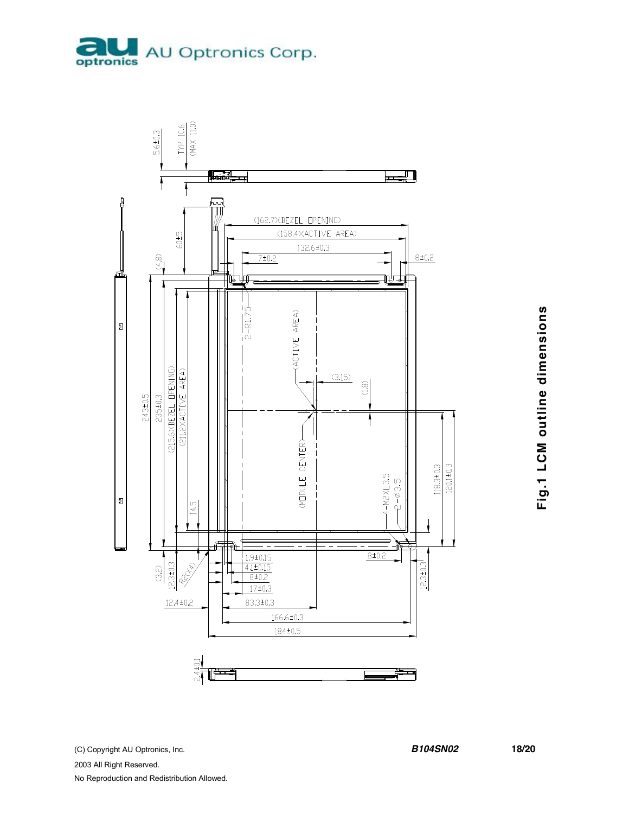



(C) Copyright AU Optronics, Inc. 2003 All Right Reserved. No Reproduction and Redistribution Allowed.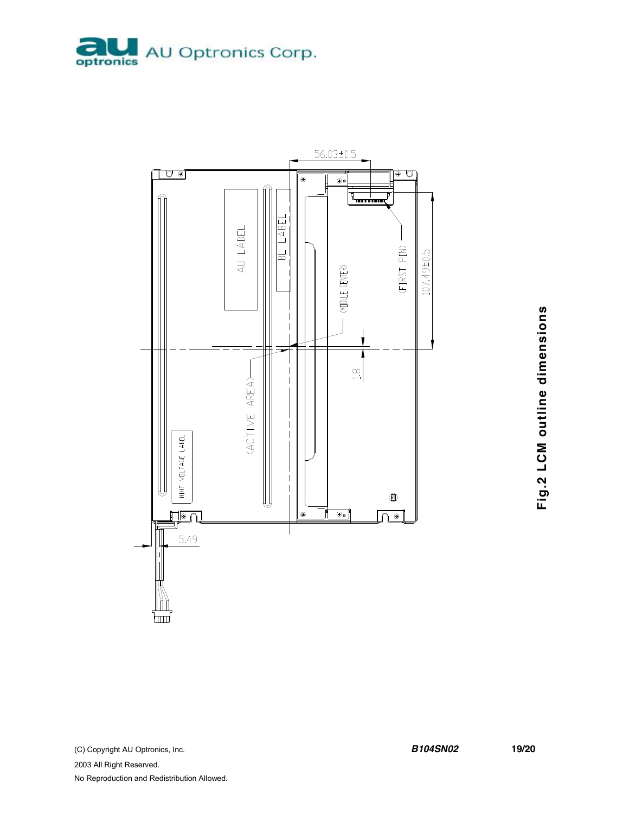